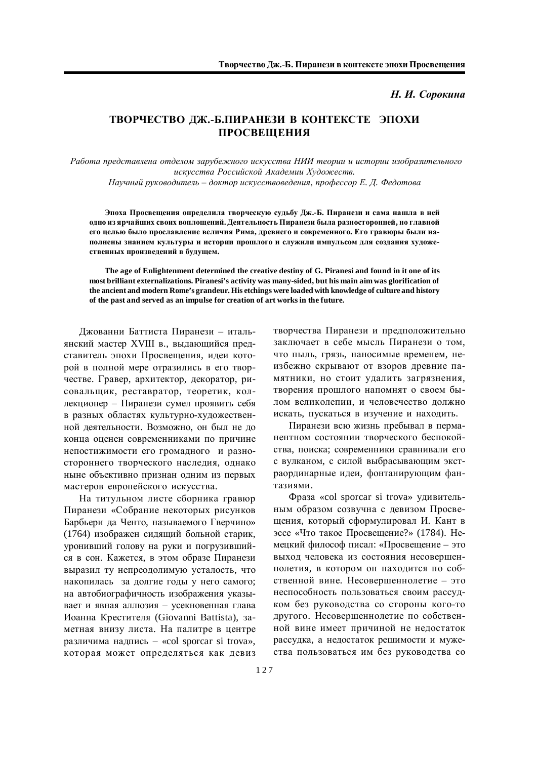## ТВОРЧЕСТВО ДЖ.-Б.ПИРАНЕЗИ В КОНТЕКСТЕ ЭПОХИ ПРОСВЕЩЕНИЯ

Работа представлена отделом зарубежного искусства НИИ теории и истории изобразительного искусства Российской Академии Художеств.

 $Hay$ чный руководитель – доктор искусствоведения, профессор Е. Д. Федотова

Эпоха Просвешения определила творческую сульбу Дж.-Б. Пиранези и сама нашла в ней одно из ярчайших своих воплощений. Деятельность Пиранези была разносторонней, но главной его целью было прославление величия Рима, древнего и современного. Его гравюры были наполнены знанием культуры и истории прошлого и служили импульсом для создания художественных произведений в будущем.

**The age of Enlightenment determined the creative destiny of G. Piranesi and found in it one of its most brilliant externalizations. Piranesi's activity was many-sided, but his main aim was glorification of the ancient and modern Rome's grandeur. His etchings were loaded with knowledge of culture and history of the past and served as an impulse for creation of art works in the future.**

Джованни Баттиста Пиранези – итальянский мастер XVIII в., выдающийся представитель эпохи Просвещения, идеи которой в полной мере отразились в его творчестве. Гравер, архитектор, декоратор, рисовальщик, реставратор, теоретик, коллекционер – Пиранези сумел проявить себя в разных областях культурно-художественной деятельности. Возможно, он был не до конца оценен современниками по причине непостижимости его громадного и разностороннего творческого наследия, однако ныне объективно признан одним из первых мастеров европейского искусства.

На титульном листе сборника гравюр Пиранези «Собрание некоторых рисунков Барбьери да Ченто, называемого Гверчино» (1764) изображен сидящий больной старик, уронивший голову на руки и погрузившийся в сон. Кажется, в этом образе Пиранези выразил ту непреодолимую усталость, что накопилась за долгие годы у него самого; на автобиографичность изображения указывает и явная аллюзия - усекновенная глава Иоанна Крестителя (Giovanni Battista), заметная внизу листа. На палитре в центре различима надпись – «col sporcar si trova», которая может определяться как девиз творчества Пиранези и предположительно заключает в себе мысль Пиранези о том, что пыль, грязь, наносимые временем, неизбежно скрывают от взоров древние памятники, но стоит удалить загрязнения, творения прошлого напомнят о своем былом великолепии, и человечество должно искать, пускаться в изучение и находить.

Пиранези всю жизнь пребывал в перманентном состоянии творческого беспокойства, поиска; современники сравнивали его с вулканом, с силой выбрасывающим экстраординарные идеи, фонтанирующим фантазиями.

Фраза «col sporcar si trova» удивительным образом созвучна с девизом Просвещения, который сформулировал И. Кант в эссе «Что такое Просвещение?» (1784). Немецкий философ писал: «Просвещение – это выход человека из состояния несовершеннолетия, в котором он находится по собственной вине. Несовершеннолетие - это неспособность пользоваться своим рассудком без руководства со стороны кого-то другого. Несовершеннолетие по собственной вине имеет причиной не недостаток рассудка, а недостаток решимости и мужества пользоваться им без руководства со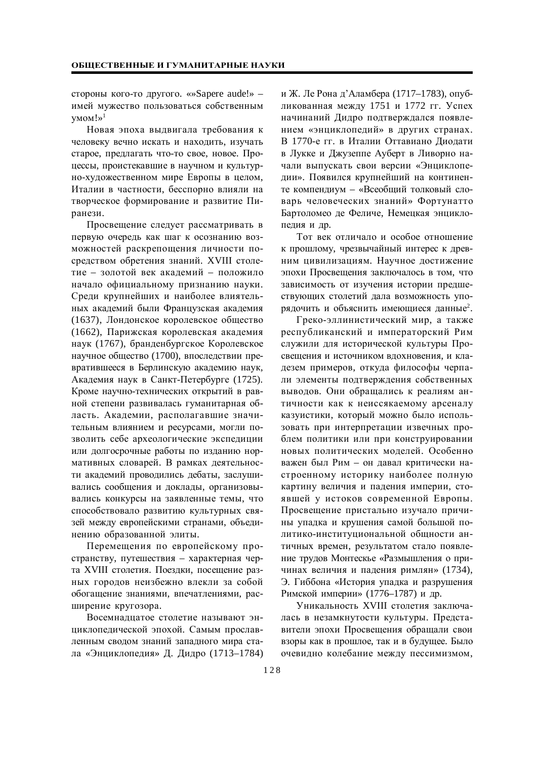стороны кого-то другого. «»Sapere aude!» – имей мужество пользоваться собственным  $VMOM! \gg 1$ 

Новая эпоха выдвигала требования к человеку вечно искать и находить, изучать старое, предлагать что-то свое, новое. Процессы, проистекавшие в научном и культурно-художественном мире Европы в целом, Италии в частности, бесспорно влияли на творческое формирование и развитие Пиранези.

Просвещение следует рассматривать в первую очередь как шаг к осознанию возможностей раскрепощения личности посредством обретения знаний. XVIII столетие – золотой век академий – положило начало официальному признанию науки. Среди крупнейших и наиболее влиятельных академий были Французская академия (1637), Лондонское королевское общество (1662), Парижская королевская академия наук (1767), бранденбургское Королевское научное общество (1700), впоследствии превратившееся в Берлинскую академию наук, Академия наук в Санкт-Петербурге (1725). Кроме научно-технических открытий в равной степени развивалась гуманитарная область. Академии, располагавшие значительным влиянием и ресурсами, могли позволить себе археологические экспедиции или долгосрочные работы по изданию нормативных словарей. В рамках деятельности академий проводились дебаты, заслушивались сообщения и доклады, организовывались конкурсы на заявленные темы, что способствовало развитию культурных связей между европейскими странами, объединению образованной элиты.

Перемещения по европейскому пространству, путешествия – характерная черта XVIII столетия. Поездки, посещение разных городов неизбежно влекли за собой обогащение знаниями, впечатлениями, расширение кругозора.

Восемнадцатое столетие называют энциклопедической эпохой. Самым прославленным сводом знаний западного мира стала «Энциклопедия» Д. Дидро (1713–1784) и Ж. Ле Рона д'Аламбера (1717–1783), опубликованная между 1751 и 1772 гг. Успех начинаний Дидро подтверждался появлением «энциклопедий» в других странах. В 1770-е гг. в Италии Оттавиано Диодати в Лукке и Джузеппе Ауберт в Ливорно начали выпускать свои версии «Энциклопедии». Появился крупнейший на континенте компендиум – «Всеобщий толковый словарь человеческих знаний» Фортунатто Бартоломео де Феличе, Немецкая энциклопелия и лр.

Тот век отличало и особое отношение к прошлому, чрезвычайный интерес к древним цивилизациям. Научное достижение эпохи Просвещения заключалось в том, что зависимость от изучения истории предшествующих столетий дала возможность упорядочить и объяснить имеющиеся данные<sup>2</sup>.

Греко-эллинистический мир, а также республиканский и императорский Рим служили для исторической культуры Просвещения и источником вдохновения, и кладезем примеров, откуда философы черпали элементы подтверждения собственных выводов. Они обращались к реалиям античности как к неиссякаемому арсеналу казуистики, который можно было использовать при интерпретации извечных проблем политики или при конструировании новых политических моделей. Особенно важен был Рим – он давал критически настроенному историку наиболее полную картину величия и падения империи, стоявшей у истоков современной Европы. Просвещение пристально изучало причины упадка и крушения самой большой политико-институциональной общности античных времен, результатом стало появление трудов Монтескье «Размышления о причинах величия и падения римлян» (1734), Э. Гиббона «История упадка и разрушения Римской империи» (1776–1787) и др.

Уникальность XVIII столетия заключалась в незамкнутости культуры. Представители эпохи Просвещения обращали свои взоры как в прошлое, так и в будущее. Было очевидно колебание между пессимизмом,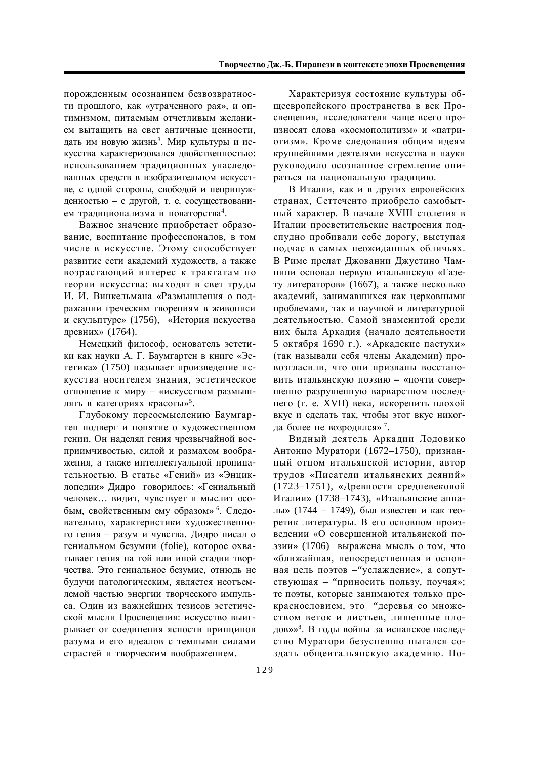порожденным осознанием безвозвратности прошлого, как «утраченного рая», и оптимизмом, питаемым отчетливым желанием вытащить на свет античные ценности, дать им новую жизнь<sup>з</sup>. Мир культуры и искусства характеризовался двойственностью: использованием традиционных унаследованных средств в изобразительном искусстве, с одной стороны, свободой и непринужденностью – с другой, т. е. сосуществованием традиционализма и новаторства<sup>4</sup>.

Важное значение приобретает образование, воспитание профессионалов, в том числе в искусстве. Этому способствует развитие сети академий художеств, а также возрастающий интерес к трактатам по теории искусства: выходят в свет труды И. И. Винкельмана «Размышления о подражании греческим творениям в живописи и скульптуре» (1756), «История искусства древних» (1764).

Немецкий философ, основатель эстетики как науки А. Г. Баумгартен в книге «Эстетика» (1750) называет произведение искусства носителем знания, эстетическое отношение к миру – «искусством размышлять в категориях красоты»<sup>5</sup>.

Глубокому переосмыслению Баумгартен подверг и понятие о художественном гении. Он наделял гения чрезвычайной восприимчивостью, силой и размахом воображения, а также интеллектуальной проницательностью. В статье «Гений» из «Энциклопедии» Дидро говорилось: «Гениальный человек... видит, чувствует и мыслит особым, свойственным ему образом»<sup>6</sup>. Следовательно, характеристики художественного гения - разум и чувства. Дидро писал о гениальном безумии (folie), которое охватывает гения на той или иной сталии творчества. Это гениальное безумие, отнюдь не будучи патологическим, является неотъемлемой частью энергии творческого импульса. Один из важнейших тезисов эстетической мысли Просвешения: искусство выигрывает от соединения ясности принципов разума и его идеалов с темными силами страстей и творческим воображением.

Характеризуя состояние культуры обшеевропейского пространства в век Просвещения, исследователи чаще всего произносят слова «космополитизм» и «патриотизм». Кроме следования общим идеям крупнейшими деятелями искусства и науки руководило осознанное стремление опираться на национальную традицию.

В Италии, как и в других европейских странах, Сеттеченто приобрело самобытный характер. В начале XVIII столетия в Италии просветительские настроения подспудно пробивали себе дорогу, выступая подчас в самых неожиданных обличьях. В Риме прелат Джованни Джустино Чампини основал первую итальянскую «Газету литераторов» (1667), а также несколько академий, занимавшихся как церковными проблемами, так и научной и литературной деятельностью. Самой знаменитой среди них была Аркадия (начало деятельности 5 октября 1690 г.). «Аркадские пастухи» (так называли себя члены Академии) провозгласили, что они призваны восстановить итальянскую поэзию - «почти совершенно разрушенную варварством последнего (т. е. XVII) века, искоренить плохой вкус и сделать так, чтобы этот вкус никогда более не возродился»<sup>7</sup>.

Видный деятель Аркадии Лодовико Антонио Муратори (1672–1750), признанный отцом итальянской истории, автор трудов «Писатели итальянских деяний» (1723–1751), «Древности средневековой Италии» (1738–1743), «Итальянские анналы» (1744 – 1749), был известен и как теоретик литературы. В его основном произведении «О совершенной итальянской поэзии» (1706) выражена мысль о том, что «ближайшая, непосредственная и основная цель поэтов – "услаждение», а сопутствующая – "приносить пользу, поучая»; те поэты, которые занимаются только прекраснословием, это "деревья со множеством веток и листьев, лишенные плодов»»<sup>8</sup>. В годы войны за испанское наследство Муратори безуспешно пытался создать общеитальянскую академию. По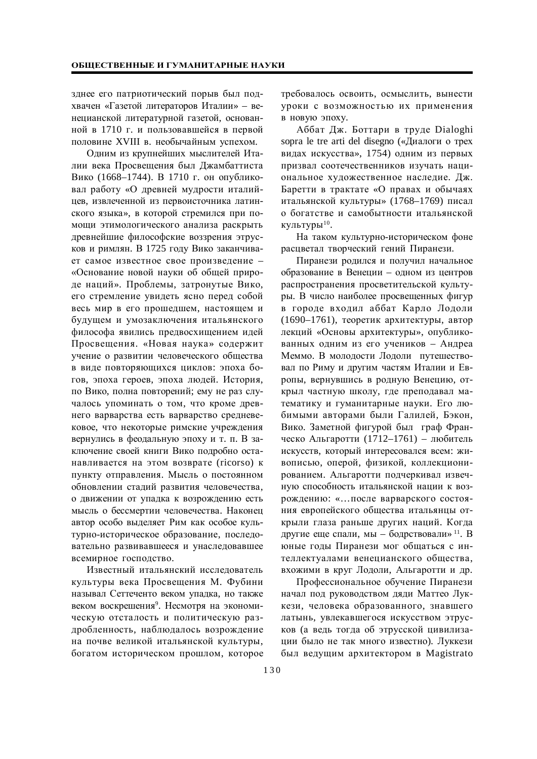зднее его патриотический порыв был подхвачен «Газетой литераторов Италии» – венецианской литературной газетой, основанной в 1710 г. и пользовавшейся в первой половине XVIII в. необычайным успехом.

Одним из крупнейших мыслителей Италии века Просвещения был Джамбаттиста Вико (1668–1744). В 1710 г. он опубликовал работу «О древней мудрости италийцев, извлеченной из первоисточника латинского языка», в которой стремился при помощи этимологического анализа раскрыть древнейшие философские воззрения этрусков и римлян. В 1725 году Вико заканчивает самое известное свое произведение -«Основание новой науки об общей природе наций». Проблемы, затронутые Вико, его стремление увидеть ясно перед собой весь мир в его прошедшем, настоящем и будущем и умозаключения итальянского философа явились предвосхищением идей Просвещения. «Новая наука» содержит учение о развитии человеческого общества в виде повторяющихся циклов: эпоха богов, эпоха героев, эпоха людей. История, по Вико, полна повторений; ему не раз случалось упоминать о том, что кроме древнего варварства есть варварство средневековое, что некоторые римские учреждения вернулись в феодальную эпоху и т. п. В заключение своей книги Вико подробно останавливается на этом возврате (ricorso) к пункту отправления. Мысль о постоянном обновлении стадий развития человечества, о движении от упадка к возрождению есть мысль о бессмертии человечества. Наконец автор особо выделяет Рим как особое культурно-историческое образование, последовательно развивавшееся и унаследовавшее всемирное госполство.

Известный итальянский исследователь культуры века Просвещения М. Фубини называл Сеттеченто веком упадка, но также веком воскрешения<sup>9</sup>. Несмотря на экономическую отсталость и политическую раздробленность, наблюдалось возрождение на почве великой итальянской культуры, богатом историческом прошлом, которое требовалось освоить, осмыслить, вынести уроки с возможностью их применения в новую эпоху.

Аббат Дж. Боттари в труде Dialoghi sopra le tre arti del disegno («Диалоги о трех видах искусства», 1754) одним из первых призвал соотечественников изучать национальное художественное наследие. Дж. Баретти в трактате «О правах и обычаях итальянской культуры» (1768–1769) писал о богатстве и самобытности итальянской культуры $^{10}$ .

На таком культурно-историческом фоне расцветал творческий гений Пиранези.

Пиранези родился и получил начальное образование в Венеции – одном из центров распространения просветительской культуры. В число наиболее просвещенных фигур в городе входил аббат Карло Лодоли  $(1690-1761)$ , теоретик архитектуры, автор лекций «Основы архитектуры», опубликованных одним из его учеников - Андреа Меммо. В молодости Лодоли путешествовал по Риму и другим частям Италии и Европы, вернувшись в родную Венецию, открыл частную школу, где преподавал математику и гуманитарные науки. Его любимыми авторами были Галилей, Бэкон, Вико. Заметной фигурой был граф Франческо Альгаротти (1712–1761) – любитель искусств, который интересовался всем: живописью, оперой, физикой, коллекционированием. Альгаротти подчеркивал извечную способность итальянской нации к возрождению: «...после варварского состояния европейского общества итальянцы открыли глаза раньше других наций. Когда другие еще спали, мы - бодрствовали»<sup>11</sup>. В юные годы Пиранези мог общаться с интеллектуалами венецианского общества. вхожими в круг Лодоли, Альгаротти и др.

Профессиональное обучение Пиранези начал под руководством дяди Маттео Луккези, человека образованного, знавшего латынь, увлекавшегося искусством этрусков (а ведь тогда об этрусской цивилизации было не так много известно). Луккези был ведущим архитектором в Magistrato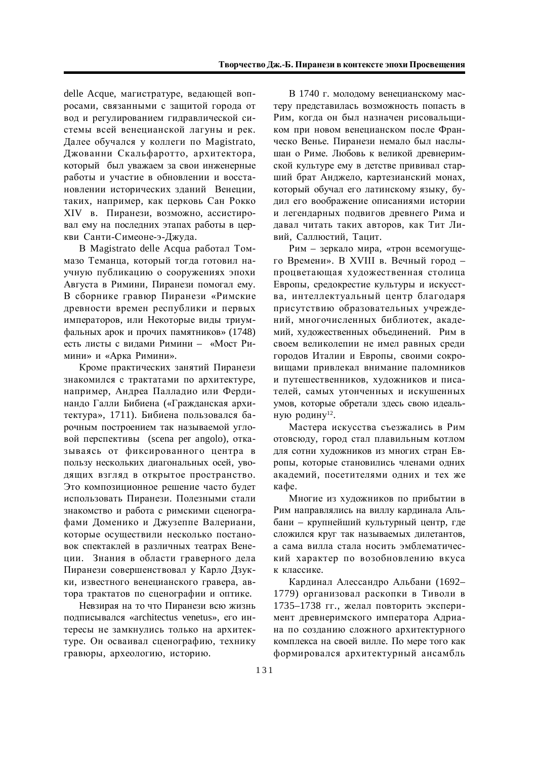delle Acque, магистратуре, ведающей вопросами, связанными с защитой города от вод и регулированием гидравлической системы всей венецианской лагуны и рек. Далее обучался у коллеги по Magistrato, Джованни Скальфаротто, архитектора, который был уважаем за свои инженерные работы и участие в обновлении и восстановлении исторических зданий Венеции, таких, например, как церковь Сан Рокко XIV в. Пиранези, возможно, ассистировал ему на послелних этапах работы в церкви Санти-Симеоне-э-Джуда.

В Magistrato delle Acqua работал Томмазо Теманца, который тогда готовил научную публикацию о сооружениях эпохи Августа в Римини, Пиранези помогал ему. В сборнике гравюр Пиранези «Римские древности времен республики и первых императоров, или Некоторые виды триумфальных арок и прочих памятников» (1748) есть листы с вилами Римини – «Мост Римини» и «Арка Римини».

Кроме практических занятий Пиранези знакомился с трактатами по архитектуре, например, Андреа Палладио или Фердинандо Галли Бибиена («Гражданская архитектура», 1711). Бибиена пользовался барочным построением так называемой угловой перспективы (scena per angolo), отказываясь от фиксированного центра в пользу нескольких диагональных осей, уводящих взгляд в открытое пространство. Это композиционное решение часто будет использовать Пиранези. Полезными стали знакомство и работа с римскими сценографами Доменико и Джузеппе Валериани, которые осуществили несколько постановок спектаклей в различных театрах Венеции. Знания в области граверного дела Пиранези совершенствовал у Карло Дзукки, известного венецианского гравера, автора трактатов по сценографии и оптике.

Невзирая на то что Пиранези всю жизнь полписывался «architectus venetus», его интересы не замкнулись только на архитектуре. Он осваивал сценографию, технику гравюры, археологию, историю.

В 1740 г. молодому венецианскому мастеру представилась возможность попасть в Рим, когда он был назначен рисовальщиком при новом венецианском после Франческо Венье. Пиранези немало был наслышан о Риме. Любовь к великой древнеримской культуре ему в детстве прививал старший брат Анджело, картезианский монах, который обучал его латинскому языку, будил его воображение описаниями истории и легендарных подвигов древнего Рима и давал читать таких авторов, как Тит Ливий, Саллюстий, Тацит.

Рим – зеркало мира, «трон всемогущего Времени». В XVIII в. Вечный город процветающая художественная столица Европы, средокрестие культуры и искусства, интеллектуальный центр благодаря присутствию образовательных учреждений, многочисленных библиотек, академий, художественных объединений. Рим в своем великолепии не имел равных среди городов Италии и Европы, своими сокровищами привлекал внимание паломников и путешественников, художников и писателей, самых утонченных и искушенных умов, которые обретали здесь свою идеальную родину<sup>12</sup>.

Мастера искусства съезжались в Рим отовсюду, город стал плавильным котлом для сотни художников из многих стран Европы, которые становились членами одних академий, посетителями одних и тех же кафе.

Многие из художников по прибытии в Рим направлялись на виллу кардинала Альбани – крупнейший культурный центр, где сложился круг так называемых дилетантов, а сама вилла стала носить эмблематический характер по возобновлению вкуса к классике.

Кардинал Алессандро Альбани (1692– 1779) организовал раскопки в Тиволи в 1735–1738 гг., желал повторить эксперимент древнеримского императора Адриана по созданию сложного архитектурного комплекса на своей вилле. По мере того как формировался архитектурный ансамбль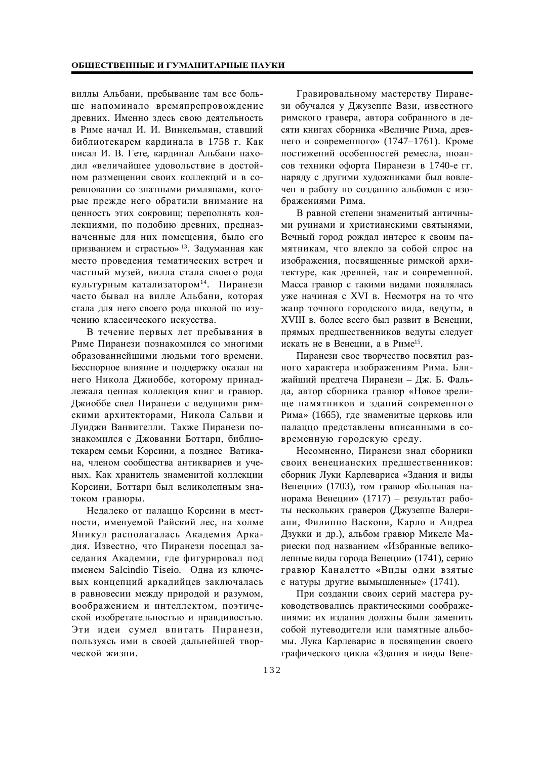виллы Альбани, пребывание там все больше напоминало времяпрепровождение древних. Именно здесь свою деятельность в Риме начал И. И. Винкельман, ставший библиотекарем кардинала в 1758 г. Как писал И. В. Гете, кардинал Альбани находил «величайшее удовольствие в достойном размещении своих коллекций и в соревновании со знатными римлянами, которые прежде него обратили внимание на ценность этих сокровищ; переполнять коллекциями, по подобию древних, предназначенные для них помещения, было его призванием и страстью»<sup>13</sup>. Задуманная как место проведения тематических встреч и частный музей, вилла стала своего рода культурным катализатором<sup>14</sup>. Пиранези часто бывал на вилле Альбани, которая стала для него своего рода школой по изучению классического искусства.

В течение первых лет пребывания в Риме Пиранези познакомился со многими образованнейшими людьми того времени. Бесспорное влияние и поддержку оказал на него Никола Джиоббе, которому принадлежала ценная коллекция книг и гравюр. Джиоббе свел Пиранези с ведущими римскими архитекторами, Никола Сальви и Луиджи Ванвителли. Также Пиранези познакомился с Джованни Боттари, библиотекарем семьи Корсини, а позднее Ватикана, членом сообщества антиквариев и ученых. Как хранитель знаменитой коллекции Корсини, Боттари был великолепным знатоком гравюры.

Недалеко от палаццо Корсини в местности, именуемой Райский лес, на холме Яникул располагалась Академия Аркадия. Известно, что Пиранези посещал заседания Академии, где фигурировал под именем Salcindio Tiseio. Одна из ключевых концепций аркадийцев заключалась в равновесии между природой и разумом, воображением и интеллектом, поэтической изобретательностью и правдивостью. Эти идеи сумел впитать Пиранези, пользуясь ими в своей дальнейшей творческой жизни.

Гравировальному мастерству Пиранези обучался у Джузеппе Вази, известного римского гравера, автора собранного в десяти книгах сборника «Величие Рима, древнего и современного» (1747–1761). Кроме постижений особенностей ремесла, нюансов техники офорта Пиранези в 1740-е гг. наряду с другими художниками был вовлечен в работу по созданию альбомов с изображениями Рима.

В равной степени знаменитый античными руинами и христианскими святынями, Вечный город рождал интерес к своим памятникам, что влекло за собой спрос на изображения, посвященные римской архитектуре, как древней, так и современной. Масса гравюр с такими видами появлялась уже начиная с XVI в. Несмотря на то что жанр точного городского вида, ведуты, в XVIII в. более всего был развит в Венеции, прямых предшественников ведуты следует искать не в Венеции, а в Риме<sup>15</sup>.

Пиранези свое творчество посвятил разного характера изображениям Рима. Ближайший предтеча Пиранези – Дж. Б. Фальда, автор сборника гравюр «Новое зрелище памятников и зданий современного Рима» (1665), где знаменитые церковь или палаццо представлены вписанными в современную городскую среду.

Несомненно, Пиранези знал сборники своих венецианских предшественников: сборник Луки Карлевариса «Здания и виды Венеции» (1703), том гравюр «Большая панорама Венеции» (1717) – результат работы нескольких граверов (Джузеппе Валериани, Филиппо Васкони, Карло и Андреа Дзукки и др.), альбом гравюр Микеле Мариески под названием «Избранные великолепные виды города Венеции» (1741), серию гравюр Каналетто «Виды одни взятые с натуры другие вымышленные» (1741).

При создании своих серий мастера руководствовались практическими соображениями: их излания лолжны были заменить собой путеводители или памятные альбомы. Лука Карлеварис в посвящении своего графического цикла «Здания и виды Вене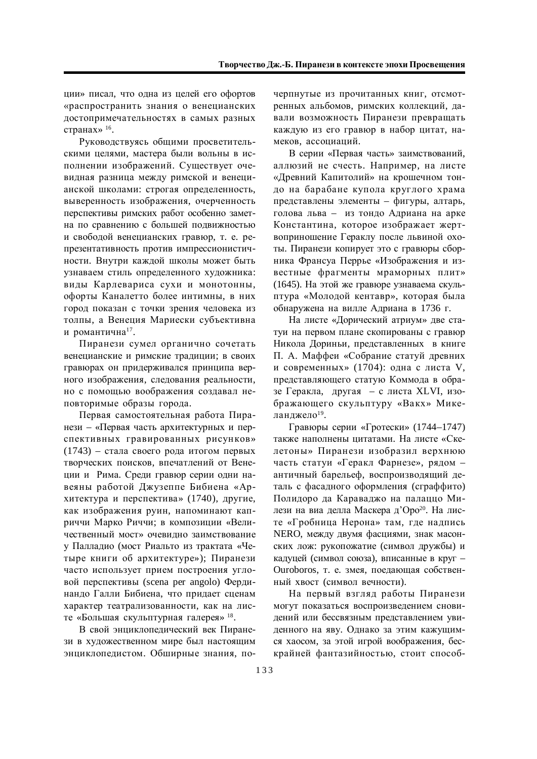ции» писал, что одна из целей его офортов «распространить знания о венецианских достопримечательностях в самых разных странах»  $16$ .

Руководствуясь общими просветительскими целями, мастера были вольны в исполнении изображений. Существует очевидная разница между римской и венецианской школами: строгая определенность, выверенность изображения, очерченность перспективы римских работ особенно заметна по сравнению с большей полвижностью и свободой венецианских гравюр, т. е. репрезентативность против импрессионистичности. Внутри каждой школы может быть узнаваем стиль определенного художника: виды Карлевариса сухи и монотонны, офорты Каналетто более интимны, в них город показан с точки зрения человека из толпы, а Венеция Мариески субъективна и романтична<sup>17</sup>.

Пиранези сумел органично сочетать венецианские и римские традиции; в своих гравюрах он придерживался принципа верного изображения, следования реальности, но с помощью воображения создавал неповторимые образы города.

Первая самостоятельная работа Пиранези – «Первая часть архитектурных и перспективных гравированных рисунков» (1743) – стала своего рода итогом первых творческих поисков, впечатлений от Венеции и Рима. Среди гравюр серии одни навеяны работой Джузеппе Бибиена «Архитектура и перспектива» (1740), лругие, как изображения руин, напоминают каприччи Марко Риччи; в композиции «Величественный мост» очевидно заимствование у Палладио (мост Риальто из трактата «Четыре книги об архитектуре»); Пиранези часто использует прием построения угловой перспективы (scena per angolo) Фердинандо Галли Бибиена, что придает сценам характер театрализованности, как на листе «Большая скульптурная галерея» <sup>18</sup>.

В свой энциклопедический век Пиранези в художественном мире был настоящим энциклопедистом. Обширные знания, по-

черпнутые из прочитанных книг, отсмотренных альбомов, римских коллекций, давали возможность Пиранези превращать каждую из его гравюр в набор цитат, намеков, ассоциаций.

В серии «Первая часть» заимствований, аллюзий не счесть. Например, на листе «Древний Капитолий» на крошечном тондо на барабане купола круглого храма представлены элементы – фигуры, алтарь, голова льва – из тондо Адриана на арке Константина, которое изображает жертвоприношение Гераклу после львиной охоты. Пиранези копирует это с гравюры сборника Франсуа Перрье «Изображения и известные фрагменты мраморных плит» (1645). На этой же гравюре узнаваема скульптура «Молодой кентавр», которая была обнаружена на вилле Адриана в 1736 г.

На листе «Дорический атриум» две статуи на первом плане скопированы с гравюр Никола Дориньи, представленных в книге П. А. Маффеи «Собрание статуй древних и современных» (1704): одна с листа V, представляющего статую Коммода в образе Геракла, другая – с листа XLVI, изображающего скульптуру «Вакх» Микеланджело $^{19}$ .

 $\Gamma$ равюры серии «Гротески» (1744–1747) также наполнены цитатами. На листе «Скелетоны» Пиранези изобразил верхнюю часть статуи «Геракл Фарнезе», рядом – античный барельеф, воспроизводящий деталь с фасадного оформления (сграффито) Полидоро да Каравалжо на палацио Милези на виа делла Маскера д'Оро<sup>20</sup>. На листе «Гробница Нерона» там, где надпись NERO, между двумя фасциями, знак масонских лож: рукопожатие (символ дружбы) и калуцей (символ союза), вписанные в круг – Ouroboros, т. е. змея, поедающая собственный хвост (символ вечности).

На первый взгляд работы Пиранези могут показаться воспроизведением сновидений или бессвязным представлением увиденного на яву. Однако за этим кажущимся хаосом, за этой игрой воображения, бескрайней фантазийностью, стоит способ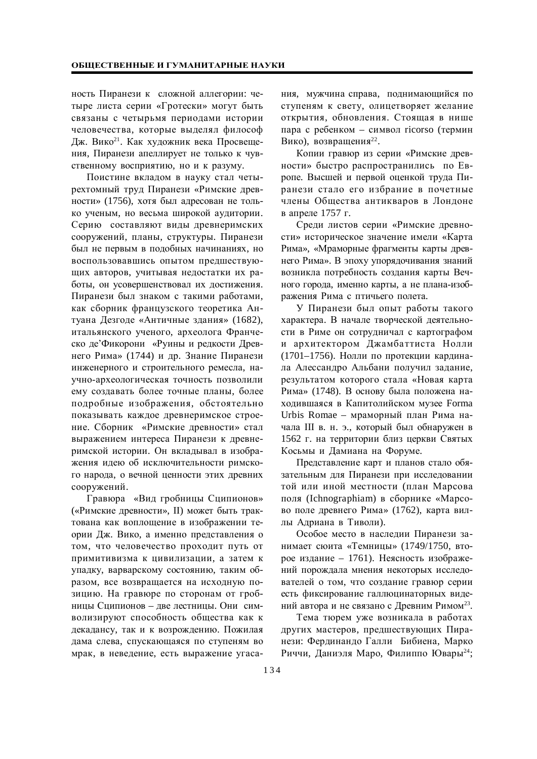ность Пиранези к сложной аллегории: четыре листа серии «Гротески» могут быть связаны с четырьмя периодами истории человечества, которые выделял философ Дж. Вико<sup>21</sup>. Как художник века Просвещения, Пиранези апеллирует не только к чувственному восприятию, но и к разуму.

Поистине вкладом в науку стал четырехтомный труд Пиранези «Римские древности» (1756), хотя был адресован не только ученым, но весьма широкой аудитории. Серию составляют виды древнеримских сооружений, планы, структуры. Пиранези был не первым в подобных начинаниях, но воспользовавшись опытом предшествующих авторов, учитывая недостатки их работы, он усовершенствовал их достижения. Пиранези был знаком с такими работами, как сборник французского теоретика Антуана Дезгоде «Античные здания» (1682), итальянского ученого, археолога Франческо де'Фикорони «Руины и редкости Древнего Рима» (1744) и др. Знание Пиранези инженерного и строительного ремесла, научно-археологическая точность позволили ему создавать более точные планы, более подробные изображения, обстоятельно показывать каждое древнеримское строение. Сборник «Римские древности» стал выражением интереса Пиранези к древнеримской истории. Он вкладывал в изображения идею об исключительности римского народа, о вечной ценности этих древних сооружений.

Гравюра «Вид гробницы Сципионов» («Римские древности», II) может быть трактована как воплощение в изображении теории Дж. Вико, а именно представления о том, что человечество проходит путь от примитивизма к цивилизации, а затем к упадку, варварскому состоянию, таким образом, все возвращается на исходную позицию. На гравюре по сторонам от гробницы Сципионов – две лестницы. Они символизируют способность общества как к декадансу, так и к возрождению. Пожилая дама слева, спускающаяся по ступеням во мрак, в неведение, есть выражение угасания, мужчина справа, поднимающийся по ступеням к свету, олицетворяет желание открытия, обновления. Стоящая в нише пара с ребенком – символ ricorso (термин Вико), возвращения<sup>22</sup>.

Копии гравюр из серии «Римские древности» быстро распространились по Европе. Высшей и первой оценкой труда Пиранези стало его избрание в почетные члены Общества антикваров в Лондоне в апреле 1757 г.

Среди листов серии «Римские древности» историческое значение имели «Карта Рима», «Мраморные фрагменты карты древнего Рима». В эпоху упорядочивания знаний возникла потребность создания карты Вечного города, именно карты, а не плана-изображения Рима с птичьего полета.

У Пиранези был опыт работы такого характера. В начале творческой деятельности в Риме он сотрудничал с картографом и архитектором Джамбаттиста Нолли (1701–1756). Нолли по протекции кардинала Алессандро Альбани получил задание, результатом которого стала «Новая карта Рима» (1748). В основу была положена находившаяся в Капитолийском музее Forma Urbis Romae – мраморный план Рима начала III в. н. э., который был обнаружен в 1562 г. на территории близ церкви Святых Косьмы и Дамиана на Форуме.

Представление карт и планов стало обязательным для Пиранези при исследовании той или иной местности (план Марсова поля (Ichnographiam) в сборнике «Марсово поле древнего Рима» (1762), карта виллы Адриана в Тиволи).

Особое место в наследии Пиранези занимает сюита «Темницы» (1749/1750, второе издание – 1761). Неясность изображений порождала мнения некоторых исследователей о том, что создание гравюр серии есть фиксирование галлюцинаторных видений автора и не связано с Древним Римом<sup>23</sup>.

Тема тюрем уже возникала в работах других мастеров, предшествующих Пиранези: Фердинандо Галли Бибиена, Марко Риччи, Даниэля Маро, Филиппо Ювары<sup>24</sup>;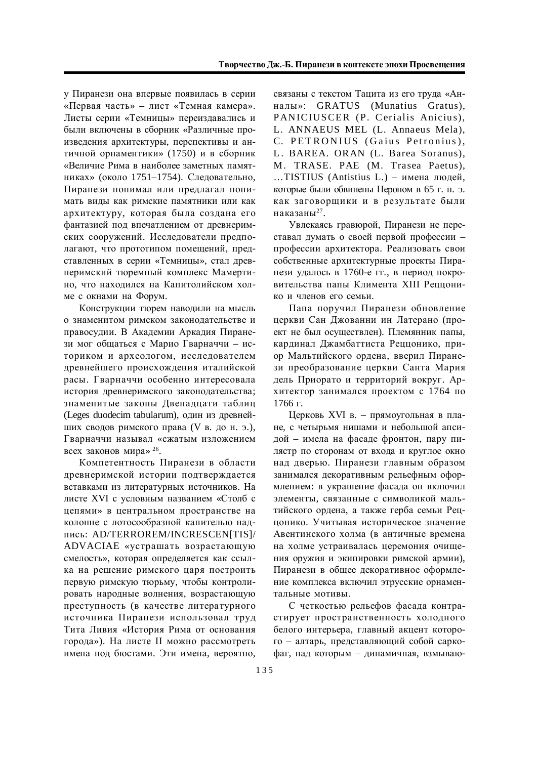у Пиранези она впервые появилась в серии «Первая часть» – лист «Темная камера». Листы серии «Темницы» переиздавались и были включены в сборник «Различные произведения архитектуры, перспективы и античной орнаментики» (1750) и в сборник «Величие Рима в наиболее заметных памятниках» (около 1751–1754). Следовательно, Пиранези понимал или предлагал понимать виды как римские памятники или как архитектуру, которая была создана его фантазией под впечатлением от древнеримских сооружений. Исследователи предполагают, что прототипом помещений, представленных в серии «Темницы», стал древнеримский тюремный комплекс Мамертино, что находился на Капитолийском холме с окнами на Форум.

Конструкции тюрем наводили на мысль о знаменитом римском законодательстве и правосудии. В Академии Аркадия Пиранези мог общаться с Марио Гварначчи – историком и археологом, исследователем древнейшего происхождения италийской расы. Гварначчи особенно интересовала история древнеримского законодательства; знаменитые законы Двенадцати таблиц (Leges duodecim tabularum), один из древнейших сводов римского права (V в. до н. э.), Гварначчи называл «сжатым изложением всех законов мира»  $26$ .

Компетентность Пиранези в области древнеримской истории подтверждается вставками из литературных источников. На листе XVI с условным названием «Столб с цепями» в центральном пространстве на колонне с лотосообразной капителью надɩɢɫɶ: AD/TERROREM/INCRESCEN[TIS]/ ADVACIAE «устрашать возрастающую смелость», которая определяется как ссылка на решение римского царя построить первую римскую тюрьму, чтобы контролировать народные волнения, возрастающую преступность (в качестве литературного источника Пиранези использовал труд Тита Ливия «История Рима от основания города»). На листе II можно рассмотреть имена под бюстами. Эти имена, вероятно,

связаны с текстом Тацита из его труда «Анɧɚɥɵ»: GRATUS (Munatius Gratus), PANICIUSCER (P. Cerialis Anicius), L. ANNAEUS MEL (L. Annaeus Mela), C. PET RONIUS (Gaius Petronius), L. BAREA. ORAN (L. Barea Soranus), M. TRASE. PAE (M. Trasea Paetus), …TISTIUS (Antistius L.) – имена людей, которые были обвинены Нероном в 65 г. н. э. как заговорщики и в результате были наказаны $^{27}$ .

Увлекаясь гравюрой. Пиранези не переставал думать о своей первой профессии профессии архитектора. Реализовать свои собственные архитектурные проекты Пиранези удалось в 1760-е гг., в период покровительства папы Климента XIII Решюнико и членов его семьи.

Папа поручил Пиранези обновление церкви Сан Джованни ин Латерано (проект не был осуществлен). Племянник папы, кардинал Джамбаттиста Реццонико, приор Мальтийского ордена, вверил Пиранези преобразование церкви Санта Мария дель Приорато и территорий вокруг. Архитектор занимался проектом с 1764 по 1766 г.

Церковь XVI в. - прямоугольная в плане, с четырьмя нишами и небольшой апсидой – имела на фасаде фронтон, пару пилястр по сторонам от входа и круглое окно над дверью. Пиранези главным образом занимался декоративным рельефным оформлением: в украшение фасада он включил элементы, связанные с символикой мальтийского ордена, а также герба семьи Реццонико. Учитывая историческое значение Авентинского холма (в античные времена на холме устраивалась церемония очищения оружия и экипировки римской армии), Пиранези в общее декоративное оформление комплекса включил этрусские орнаментальные мотивы.

С четкостью рельефов фасада контрастирует пространственность холодного белого интерьера, главный акцент которого – алтарь, представляющий собой саркофаг, над которым – динамичная, взмываю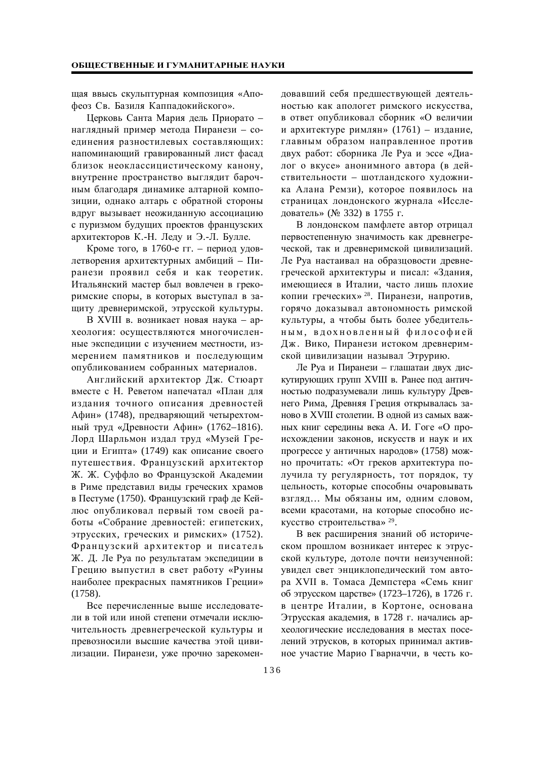щая ввысь скульптурная композиция «Апофеоз Св. Базиля Каппалокийского».

Церковь Санта Мария дель Приорато – наглядный пример метода Пиранези – соединения разностилевых составляющих: напоминающий гравированный лист фасад близок неоклассицистическому канону, внутренне пространство выглядит барочным благодаря динамике алтарной композиции, однако алтарь с обратной стороны вдруг вызывает неожиданную ассоциацию с пуризмом будущих проектов французских архитекторов К.-Н. Леду и Э.-Л. Булле.

Кроме того, в 1760-е гг. – период удовлетворения архитектурных амбиций – Пиранези проявил себя и как теоретик. Итальянский мастер был вовлечен в грекоримские споры, в которых выступал в защиту древнеримской, этрусской культуры.

В XVIII в. возникает новая наука - археология: осуществляются многочисленные экспедиции с изучением местности, измерением памятников и последующим опубликованием собранных материалов.

Английский архитектор Дж. Стюарт вместе с Н. Реветом напечатал «План для издания точного описания древностей Афин» (1748), предваряющий четырехтомный труд «Древности Афин» (1762–1816). Лорд Шарльмон издал труд «Музей Греции и Египта» (1749) как описание своего путешествия. Французский архитектор Ж. Ж. Суффло во Французской Академии в Риме представил виды греческих храмов в Пестуме (1750). Французский граф де Кейлюс опубликовал первый том своей работы «Собрание древностей: египетских, этрусских, греческих и римских» (1752). Французский архитектор и писатель Ж. Д. Ле Руа по результатам экспедиции в Грецию выпустил в свет работу «Руины наиболее прекрасных памятников Греции» (1758).

Все перечисленные выше исследователи в той или иной степени отмечали исключительность древнегреческой культуры и превозносили высшие качества этой цивилизации. Пиранези, уже прочно зарекомендовавший себя предшествующей деятельностью как апологет римского искусства, в ответ опубликовал сборник «О величии и архитектуре римлян» (1761) – издание, главным образом направленное против двух работ: сборника Ле Руа и эссе «Диалог о вкусе» анонимного автора (в действительности – шотландского художника Алана Ремзи), которое появилось на страницах лондонского журнала «Исследователь» (№ 332) в 1755 г.

В лондонском памфлете автор отрицал первостепенную значимость как древнегреческой, так и древнеримской цивилизаций. Ле Руа настаивал на образцовости древнегреческой архитектуры и писал: «Здания, имеющиеся в Италии, часто лишь плохие копии греческих»<sup>28</sup>. Пиранези, напротив, горячо доказывал автономность римской культуры, а чтобы быть более убедительным, вдохновленный философией Дж. Вико, Пиранези истоком древнеримской цивилизации называл Этрурию.

Ле Руа и Пиранези – глашатаи двух дискутирующих групп XVIII в. Ранее под античностью подразумевали лишь культуру Древнего Рима, Древняя Греция открывалась заново в XVIII столетии. В одной из самых важных книг середины века А. И. Гоге «О происхождении законов, искусств и наук и их прогрессе у античных народов» (1758) можно прочитать: «От греков архитектура получила ту регулярность, тот порядок, ту цельность, которые способны очаровывать взгляд... Мы обязаны им, одним словом, всеми красотами, на которые способно искусство строительства» 29.

В век расширения знаний об историческом прошлом возникает интерес к этрусской культуре, дотоле почти неизученной: увидел свет энциклопедический том автора XVII в. Томаса Демпстера «Семь книг об этрусском царстве» (1723–1726), в 1726 г. в центре Италии, в Кортоне, основана Этрусская акалемия, в 1728 г. начались археологические исследования в местах поселений этрусков, в которых принимал активное участие Марио Гварначчи, в честь ко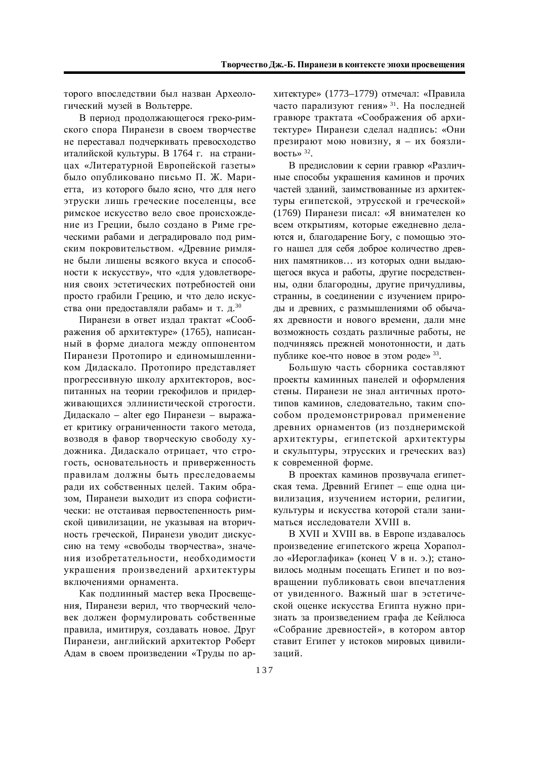торого впоследствии был назван Археологический музей в Вольтерре.

В период продолжающегося греко-римского спора Пиранези в своем творчестве не переставал подчеркивать превосходство италийской культуры. В 1764 г. на страницах «Литературной Европейской газеты» было опубликовано письмо П. Ж. Мариетта, из которого было ясно, что для него этруски лишь греческие поселенцы, все римское искусство вело свое происхождение из Греции, было создано в Риме греческими рабами и деградировало под римским покровительством. «Древние римляне были лишены всякого вкуса и способности к искусству», что «для удовлетворения своих эстетических потребностей они просто грабили Грецию, и что дело искусства они предоставляли рабам» и т. д.<sup>30</sup>

Пиранези в ответ издал трактат «Соображения об архитектуре» (1765), написанный в форме диалога между оппонентом Пиранези Протопиро и единомышленником Дидаскало. Протопиро представляет прогрессивную школу архитекторов, воспитанных на теории грекофилов и придерживающихся эллинистической строгости. Дидаскало – alter ego Пиранези – выражает критику ограниченности такого метода, возводя в фавор творческую свободу художника. Дидаскало отрицает, что строгость, основательность и приверженность правилам должны быть преследоваемы ради их собственных целей. Таким образом. Пиранези выходит из спора софистически: не отстаивая первостепенность римской цивилизации, не указывая на вторичность греческой, Пиранези уводит дискуссию на тему «свободы творчества», значения изобретательности, необходимости украшения произведений архитектуры включениями орнамента.

Как подлинный мастер века Просвещения, Пиранези верил, что творческий человек должен формулировать собственные правила, имитируя, создавать новое. Друг Пиранези, английский архитектор Роберт Адам в своем произведении «Труды по архитектуре» (1773–1779) отмечал: «Правила часто парализуют гения»<sup>31</sup>. На последней гравюре трактата «Соображения об архитектуре» Пиранези сделал надпись: «Они презирают мою новизну, я – их боязливость»  $32$ .

В предисловии к серии гравюр «Различные способы украшения каминов и прочих частей зданий, заимствованные из архитектуры египетской, этрусской и греческой» (1769) Пиранези писал: «Я внимателен ко всем открытиям, которые ежедневно делаются и, благодарение Богу, с помощью этого нашел для себя доброе количество древних памятников... из которых одни выдающегося вкуса и работы, другие посредственны, одни благородны, другие причудливы, странны, в соединении с изучением природы и древних, с размышлениями об обычаях древности и нового времени, дали мне возможность создать различные работы, не подчиняясь прежней монотонности, и дать публике кое-что новое в этом роде» 33.

Большую часть сборника составляют проекты каминных панелей и оформления стены. Пиранези не знал античных прототипов каминов, следовательно, таким способом продемонстрировал применение древних орнаментов (из позднеримской архитектуры, египетской архитектуры и скульптуры, этрусских и греческих ваз) к современной форме.

В проектах каминов прозвучала египетская тема. Древний Египет – еще одна цивилизация, изучением истории, религии, культуры и искусства которой стали заниматься исследователи XVIII в.

В XVII и XVIII вв. в Европе издавалось произведение египетского жреца Хораполло «Иероглафика» (конец V в н. э.); становилось молным посешать Египет и по возвращении публиковать свои впечатления от увиденного. Важный шаг в эстетической оценке искусства Египта нужно признать за произведением графа де Кейлюса «Собрание древностей», в котором автор ставит Египет у истоков мировых цивилизаний.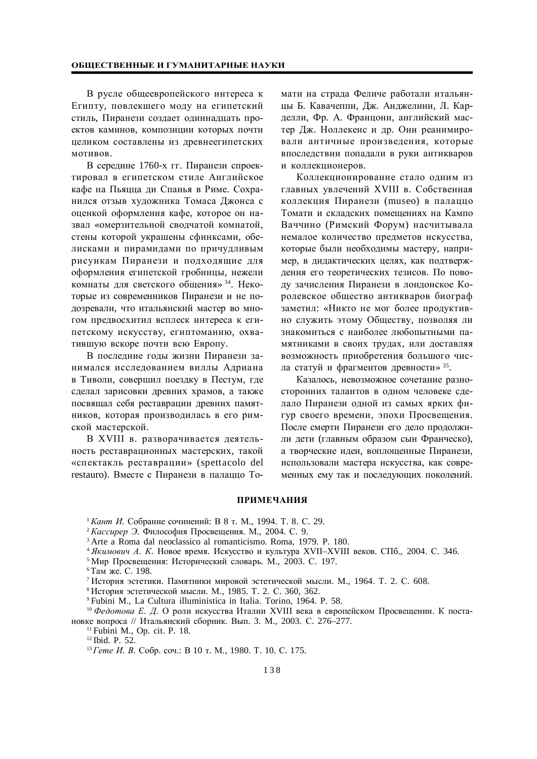## ОБЩЕСТВЕННЫЕ И ГУМАНИТАРНЫЕ НАУКИ

В русле общеевропейского интереса к Египту, повлекшего моду на египетский стиль, Пиранези создает одиннадцать проектов каминов, композиции которых почти целиком составлены из древнеегипетских мотивов.

В середине 1760-х гг. Пиранези спроектировал в египетском стиле Английское кафе на Пьяцца ди Спанья в Риме. Сохранился отзыв художника Томаса Джонса с оценкой оформления кафе, которое он назвал «омерзительной сводчатой комнатой. стены которой украшены сфинксами, обелисками и пирамидами по причудливым рисункам Пиранези и подходящие для оформления египетской гробницы, нежели комнаты для светского общения»<sup>34</sup>. Некоторые из современников Пиранези и не подозревали, что итальянский мастер во многом предвосхитил всплеск интереса к египетскому искусству, египтоманию, охватившую вскоре почти всю Европу.

В последние годы жизни Пиранези занимался исследованием виллы Адриана в Тиволи, совершил поездку в Пестум, где сделал зарисовки древних храмов, а также посвящал себя реставрации древних памятников, которая производилась в его римской мастерской.

В XVIII в. разворачивается деятельность реставрационных мастерских, такой «спектакль реставрации» (spettacolo del restauro). Вместе с Пиранези в палаццо Томати на страда Феличе работали итальянцы Б. Кавачеппи. Дж. Анджелини. Л. Карделли, Фр. А. Францони, английский мастер Дж. Ноллекенс и др. Они реанимировали античные произведения, которые впоследствии попадали в руки антикваров и коллекционеров.

Коллекционирование стало одним из главных увлечений XVIII в. Собственная коллекция Пиранези (museo) в палаццо Томати и складских помещениях на Кампо Ваччино (Римский Форум) насчитывала немалое количество предметов искусства, которые были необходимы мастеру, например, в дидактических целях, как подтверждения его теоретических тезисов. По поводу зачисления Пиранези в лондонское Королевское общество антикваров биограф заметил: «Никто не мог более продуктивно служить этому Обществу, позволяя ли знакомиться с наиболее любопытными памятниками в своих трудах, или доставляя возможность приобретения большого числа статуй и фрагментов древности» 35.

Казалось, невозможное сочетание разносторонних талантов в одном человеке сделало Пиранези одной из самых ярких фигур своего времени, эпохи Просвещения. После смерти Пиранези его дело продолжили дети (главным образом сын Франческо), а творческие идеи, воплощенные Пиранези, использовали мастера искусства, как современных ему так и последующих поколений.

## **ПРИМЕЧАНИЯ**

<sup>1</sup> Кант И. Собрание сочинений: В 8 т. М., 1994. Т. 8. С. 29.

<sup>2</sup> Кассирер Э. Философия Просвещения. М., 2004. С. 9.

<sup>3</sup> Arte a Roma dal neoclassico al romanticismo. Roma, 1979. P. 180.

<sup>4</sup> Якимович А. К. Новое время. Искусство и культура XVII–XVIII веков. СПб., 2004. С. 346.

<sup>5</sup> Мир Просвещения: Исторический словарь. М., 2003. С. 197.

<sup>6</sup>Там же. С. 198.

<sup>7</sup> История эстетики. Памятники мировой эстетической мысли. М., 1964. Т. 2. С. 608.

<sup>8</sup> История эстетической мысли. М., 1985. Т. 2. С. 360, 362.

<sup>9</sup> Fubini M., La Cultura illuministica in Italia. Torino, 1964. P. 58.

<sup>10</sup> Федотова Е. Д. О роли искусства Италии XVIII века в европейском Просвещении. К постановке вопроса // Итальянский сборник. Вып. 3. М., 2003. С. 276–277.

<sup>11</sup> Fubini M., Op. cit. P. 18.

<sup>12</sup> Ibid. P. 52.

<sup>13</sup> Гете И. В. Собр. соч.: В 10 т. М., 1980. Т. 10. С. 175.